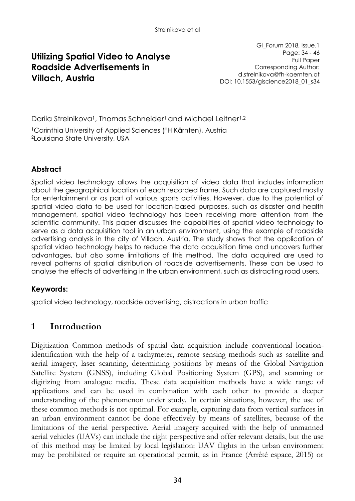## **Utilizing Spatial Video to Analyse Roadside Advertisements in Villach, Austria**

GI\_Forum 2018, Issue.1 Page: 34 - 46 Full Paper Corresponding Author: d.strelnikova@fh-kaernten.at DOI: 10.1553/giscience2018\_01\_s34

Darija Strelnikova<sup>1</sup>, Thomas Schneider<sup>1</sup> and Michael Leitner<sup>1,2</sup>

<sup>1</sup>Carinthia University of Applied Sciences (FH Kärnten), Austria <sup>2</sup>Louisiana State University, USA

## **Abstract**

Spatial video technology allows the acquisition of video data that includes information about the geographical location of each recorded frame. Such data are captured mostly for entertainment or as part of various sports activities. However, due to the potential of spatial video data to be used for location-based purposes, such as disaster and health management, spatial video technology has been receiving more attention from the scientific community. This paper discusses the capabilities of spatial video technology to serve as a data acquisition tool in an urban environment, using the example of roadside advertising analysis in the city of Villach, Austria. The study shows that the application of spatial video technology helps to reduce the data acquisition time and uncovers further advantages, but also some limitations of this method. The data acquired are used to reveal patterns of spatial distribution of roadside advertisements. These can be used to analyse the effects of advertising in the urban environment, such as distracting road users.

### **Keywords:**

spatial video technology, roadside advertising, distractions in urban traffic

## **1 Introduction**

Digitization Common methods of spatial data acquisition include conventional locationidentification with the help of a tachymeter, remote sensing methods such as satellite and aerial imagery, laser scanning, determining positions by means of the Global Navigation Satellite System (GNSS), including Global Positioning System (GPS), and scanning or digitizing from analogue media. These data acquisition methods have a wide range of applications and can be used in combination with each other to provide a deeper understanding of the phenomenon under study. In certain situations, however, the use of these common methods is not optimal. For example, capturing data from vertical surfaces in an urban environment cannot be done effectively by means of satellites, because of the limitations of the aerial perspective. Aerial imagery acquired with the help of unmanned aerial vehicles (UAVs) can include the right perspective and offer relevant details, but the use of this method may be limited by local legislation: UAV flights in the urban environment may be prohibited or require an operational permit, as in France (Arrêté espace, 2015) or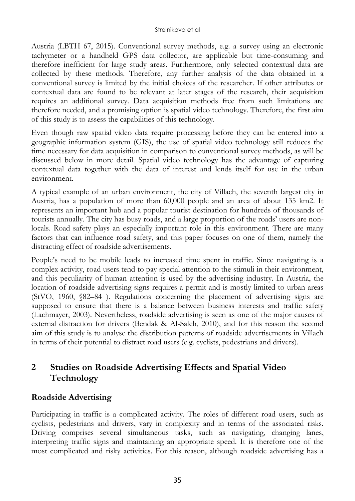Austria (LBTH 67, 2015). Conventional survey methods, e.g. a survey using an electronic tachymeter or a handheld GPS data collector, are applicable but time-consuming and therefore inefficient for large study areas. Furthermore, only selected contextual data are collected by these methods. Therefore, any further analysis of the data obtained in a conventional survey is limited by the initial choices of the researcher. If other attributes or contextual data are found to be relevant at later stages of the research, their acquisition requires an additional survey. Data acquisition methods free from such limitations are therefore needed, and a promising option is spatial video technology. Therefore, the first aim of this study is to assess the capabilities of this technology.

Even though raw spatial video data require processing before they can be entered into a geographic information system (GIS), the use of spatial video technology still reduces the time necessary for data acquisition in comparison to conventional survey methods, as will be discussed below in more detail. Spatial video technology has the advantage of capturing contextual data together with the data of interest and lends itself for use in the urban environment.

A typical example of an urban environment, the city of Villach, the seventh largest city in Austria, has a population of more than 60,000 people and an area of about 135 km2. It represents an important hub and a popular tourist destination for hundreds of thousands of tourists annually. The city has busy roads, and a large proportion of the roads' users are nonlocals. Road safety plays an especially important role in this environment. There are many factors that can influence road safety, and this paper focuses on one of them, namely the distracting effect of roadside advertisements.

People's need to be mobile leads to increased time spent in traffic. Since navigating is a complex activity, road users tend to pay special attention to the stimuli in their environment, and this peculiarity of human attention is used by the advertising industry. In Austria, the location of roadside advertising signs requires a permit and is mostly limited to urban areas (StVO, 1960, §82–84 ). Regulations concerning the placement of advertising signs are supposed to ensure that there is a balance between business interests and traffic safety (Lachmayer, 2003). Nevertheless, roadside advertising is seen as one of the major causes of external distraction for drivers (Bendak & Al-Saleh, 2010), and for this reason the second aim of this study is to analyse the distribution patterns of roadside advertisements in Villach in terms of their potential to distract road users (e.g. cyclists, pedestrians and drivers).

# **2 Studies on Roadside Advertising Effects and Spatial Video Technology**

## **Roadside Advertising**

Participating in traffic is a complicated activity. The roles of different road users, such as cyclists, pedestrians and drivers, vary in complexity and in terms of the associated risks. Driving comprises several simultaneous tasks, such as navigating, changing lanes, interpreting traffic signs and maintaining an appropriate speed. It is therefore one of the most complicated and risky activities. For this reason, although roadside advertising has a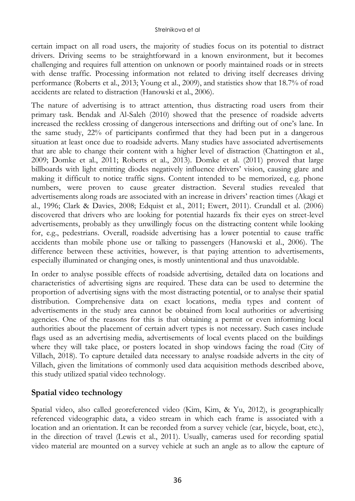certain impact on all road users, the majority of studies focus on its potential to distract drivers. Driving seems to be straightforward in a known environment, but it becomes challenging and requires full attention on unknown or poorly maintained roads or in streets with dense traffic. Processing information not related to driving itself decreases driving performance (Roberts et al., 2013; Young et al., 2009), and statistics show that 18.7% of road accidents are related to distraction (Hanowski et al., 2006).

The nature of advertising is to attract attention, thus distracting road users from their primary task. Bendak and Al-Saleh (2010) showed that the presence of roadside adverts increased the reckless crossing of dangerous intersections and drifting out of one's lane. In the same study, 22% of participants confirmed that they had been put in a dangerous situation at least once due to roadside adverts. Many studies have associated advertisements that are able to change their content with a higher level of distraction (Chattington et al., 2009; Domke et al., 2011; Roberts et al., 2013). Domke et al. (2011) proved that large billboards with light emitting diodes negatively influence drivers' vision, causing glare and making it difficult to notice traffic signs. Content intended to be memorized, e.g. phone numbers, were proven to cause greater distraction. Several studies revealed that advertisements along roads are associated with an increase in drivers' reaction times (Akagi et al., 1996; Clark & Davies, 2008; Edquist et al., 2011; Ewert, 2011). Crundall et al. (2006) discovered that drivers who are looking for potential hazards fix their eyes on street-level advertisements, probably as they unwillingly focus on the distracting content while looking for, e.g., pedestrians. Overall, roadside advertising has a lower potential to cause traffic accidents than mobile phone use or talking to passengers (Hanowski et al., 2006). The difference between these activities, however, is that paying attention to advertisements, especially illuminated or changing ones, is mostly unintentional and thus unavoidable.

In order to analyse possible effects of roadside advertising, detailed data on locations and characteristics of advertising signs are required. These data can be used to determine the proportion of advertising signs with the most distracting potential, or to analyse their spatial distribution. Comprehensive data on exact locations, media types and content of advertisements in the study area cannot be obtained from local authorities or advertising agencies. One of the reasons for this is that obtaining a permit or even informing local authorities about the placement of certain advert types is not necessary. Such cases include flags used as an advertising media, advertisements of local events placed on the buildings where they will take place, or posters located in shop windows facing the road (City of Villach, 2018). To capture detailed data necessary to analyse roadside adverts in the city of Villach, given the limitations of commonly used data acquisition methods described above, this study utilized spatial video technology.

## **Spatial video technology**

Spatial video, also called georeferenced video (Kim, Kim, & Yu, 2012), is geographically referenced videographic data, a video stream in which each frame is associated with a location and an orientation. It can be recorded from a survey vehicle (car, bicycle, boat, etc.), in the direction of travel (Lewis et al., 2011). Usually, cameras used for recording spatial video material are mounted on a survey vehicle at such an angle as to allow the capture of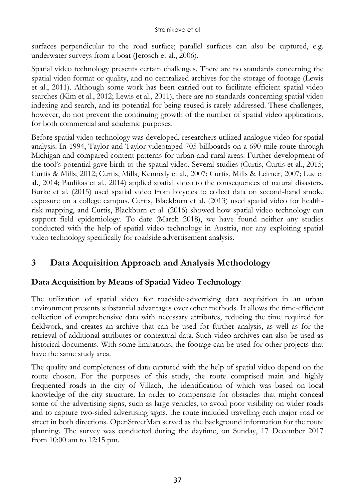surfaces perpendicular to the road surface; parallel surfaces can also be captured, e.g. underwater surveys from a boat (Jerosch et al., 2006).

Spatial video technology presents certain challenges. There are no standards concerning the spatial video format or quality, and no centralized archives for the storage of footage (Lewis et al., 2011). Although some work has been carried out to facilitate efficient spatial video searches (Kim et al., 2012; Lewis et al., 2011), there are no standards concerning spatial video indexing and search, and its potential for being reused is rarely addressed. These challenges, however, do not prevent the continuing growth of the number of spatial video applications, for both commercial and academic purposes.

Before spatial video technology was developed, researchers utilized analogue video for spatial analysis. In 1994, Taylor and Taylor videotaped 705 billboards on a 690-mile route through Michigan and compared content patterns for urban and rural areas. Further development of the tool's potential gave birth to the spatial video. Several studies (Curtis, Curtis et al., 2015; Curtis & Mills, 2012; Curtis, Mills, Kennedy et al., 2007; Curtis, Mills & Leitner, 2007; Lue et al., 2014; Paulikas et al., 2014) applied spatial video to the consequences of natural disasters. Burke et al. (2015) used spatial video from bicycles to collect data on second-hand smoke exposure on a college campus. Curtis, Blackburn et al. (2013) used spatial video for healthrisk mapping, and Curtis, Blackburn et al. (2016) showed how spatial video technology can support field epidemiology. To date (March 2018), we have found neither any studies conducted with the help of spatial video technology in Austria, nor any exploiting spatial video technology specifically for roadside advertisement analysis.

# **3 Data Acquisition Approach and Analysis Methodology**

## **Data Acquisition by Means of Spatial Video Technology**

The utilization of spatial video for roadside-advertising data acquisition in an urban environment presents substantial advantages over other methods. It allows the time-efficient collection of comprehensive data with necessary attributes, reducing the time required for fieldwork, and creates an archive that can be used for further analysis, as well as for the retrieval of additional attributes or contextual data. Such video archives can also be used as historical documents. With some limitations, the footage can be used for other projects that have the same study area.

The quality and completeness of data captured with the help of spatial video depend on the route chosen. For the purposes of this study, the route comprised main and highly frequented roads in the city of Villach, the identification of which was based on local knowledge of the city structure. In order to compensate for obstacles that might conceal some of the advertising signs, such as large vehicles, to avoid poor visibility on wider roads and to capture two-sided advertising signs, the route included travelling each major road or street in both directions. OpenStreetMap served as the background information for the route planning. The survey was conducted during the daytime, on Sunday, 17 December 2017 from 10:00 am to 12:15 pm.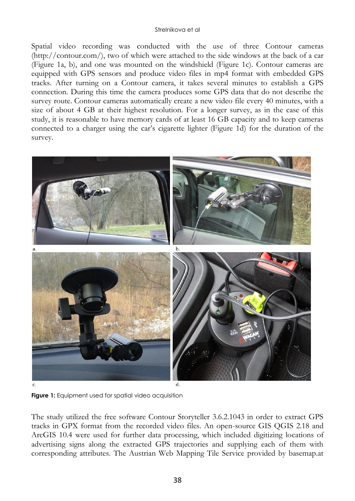Spatial video recording was conducted with the use of three Contour cameras (http://contour.com/), two of which were attached to the side windows at the back of a car (Figure 1a, b), and one was mounted on the windshield (Figure 1c). Contour cameras are equipped with GPS sensors and produce video files in mp4 format with embedded GPS tracks. After turning on a Contour camera, it takes several minutes to establish a GPS connection. During this time the camera produces some GPS data that do not describe the survey route. Contour cameras automatically create a new video file every 40 minutes, with a size of about 4 GB at their highest resolution. For a longer survey, as in the case of this study, it is reasonable to have memory cards of at least 16 GB capacity and to keep cameras connected to a charger using the car's cigarette lighter (Figure 1d) for the duration of the survey.



**Figure 1:** Equipment used for spatial video acquisition

The study utilized the free software Contour Storyteller 3.6.2.1043 in order to extract GPS tracks in GPX format from the recorded video files. An open-source GIS QGIS 2.18 and ArcGIS 10.4 were used for further data processing, which included digitizing locations of advertising signs along the extracted GPS trajectories and supplying each of them with corresponding attributes. The Austrian Web Mapping Tile Service provided by basemap.at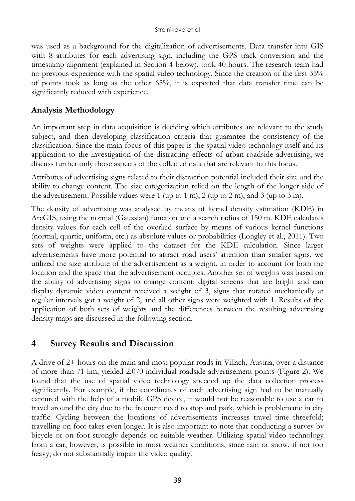was used as a background for the digitalization of advertisements. Data transfer into GIS with 8 attributes for each advertising sign, including the GPS track conversion and the timestamp alignment (explained in Section 4 below), took 40 hours. The research team had no previous experience with the spatial video technology. Since the creation of the first 35% of points took as long as the other 65%, it is expected that data transfer time can be significantly reduced with experience.

## **Analysis Methodology**

An important step in data acquisition is deciding which attributes are relevant to the study subject, and then developing classification criteria that guarantee the consistency of the classification. Since the main focus of this paper is the spatial video technology itself and its application to the investigation of the distracting effects of urban roadside advertising, we discuss further only those aspects of the collected data that are relevant to this focus.

Attributes of advertising signs related to their distraction potential included their size and the ability to change content. The size categorization relied on the length of the longer side of the advertisement. Possible values were 1 (up to 1 m), 2 (up to 2 m), and 3 (up to 3 m).

The density of advertising was analysed by means of kernel density estimation (KDE) in ArcGIS, using the normal (Gaussian) function and a search radius of 150 m. KDE calculates density values for each cell of the overlaid surface by means of various kernel functions (normal, quartic, uniform, etc.) as absolute values or probabilities (Longley et al., 2011). Two sets of weights were applied to the dataset for the KDE calculation. Since larger advertisements have more potential to attract road users' attention than smaller signs, we utilized the size attribute of the advertisement as a weight, in order to account for both the location and the space that the advertisement occupies. Another set of weights was based on the ability of advertising signs to change content: digital screens that are bright and can display dynamic video content received a weight of 3, signs that rotated mechanically at regular intervals got a weight of 2, and all other signs were weighted with 1. Results of the application of both sets of weights and the differences between the resulting advertising density maps are discussed in the following section.

## **4 Survey Results and Discussion**

A drive of 2+ hours on the main and most popular roads in Villach, Austria, over a distance of more than 71 km, yielded 2,070 individual roadside advertisement points (Figure 2). We found that the use of spatial video technology speeded up the data collection process significantly. For example, if the coordinates of each advertising sign had to be manually captured with the help of a mobile GPS device, it would not be reasonable to use a car to travel around the city due to the frequent need to stop and park, which is problematic in city traffic. Cycling between the locations of advertisements increases travel time threefold; travelling on foot takes even longer. It is also important to note that conducting a survey by bicycle or on foot strongly depends on suitable weather. Utilizing spatial video technology from a car, however, is possible in most weather conditions, since rain or snow, if not too heavy, do not substantially impair the video quality.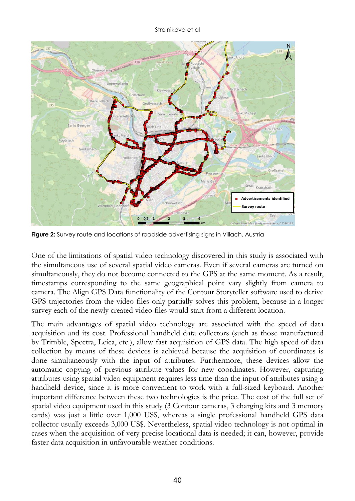

Figure 2: Survey route and locations of roadside advertising signs in Villach, Austria

One of the limitations of spatial video technology discovered in this study is associated with the simultaneous use of several spatial video cameras. Even if several cameras are turned on simultaneously, they do not become connected to the GPS at the same moment. As a result, timestamps corresponding to the same geographical point vary slightly from camera to camera. The Align GPS Data functionality of the Contour Storyteller software used to derive GPS trajectories from the video files only partially solves this problem, because in a longer survey each of the newly created video files would start from a different location.

The main advantages of spatial video technology are associated with the speed of data acquisition and its cost. Professional handheld data collectors (such as those manufactured by Trimble, Spectra, Leica, etc.), allow fast acquisition of GPS data. The high speed of data collection by means of these devices is achieved because the acquisition of coordinates is done simultaneously with the input of attributes. Furthermore, these devices allow the automatic copying of previous attribute values for new coordinates. However, capturing attributes using spatial video equipment requires less time than the input of attributes using a handheld device, since it is more convenient to work with a full-sized keyboard. Another important difference between these two technologies is the price. The cost of the full set of spatial video equipment used in this study (3 Contour cameras, 3 charging kits and 3 memory cards) was just a little over 1,000 US\$, whereas a single professional handheld GPS data collector usually exceeds 3,000 US\$. Nevertheless, spatial video technology is not optimal in cases when the acquisition of very precise locational data is needed; it can, however, provide faster data acquisition in unfavourable weather conditions.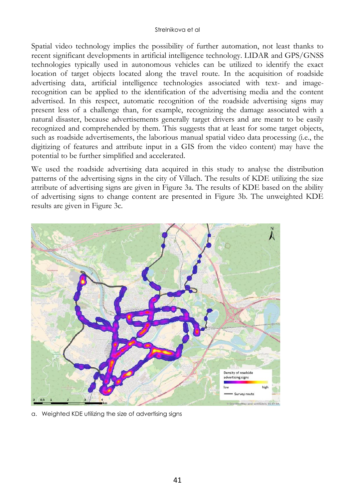Spatial video technology implies the possibility of further automation, not least thanks to recent significant developments in artificial intelligence technology. LIDAR and GPS/GNSS technologies typically used in autonomous vehicles can be utilized to identify the exact location of target objects located along the travel route. In the acquisition of roadside advertising data, artificial intelligence technologies associated with text- and imagerecognition can be applied to the identification of the advertising media and the content advertised. In this respect, automatic recognition of the roadside advertising signs may present less of a challenge than, for example, recognizing the damage associated with a natural disaster, because advertisements generally target drivers and are meant to be easily recognized and comprehended by them. This suggests that at least for some target objects, such as roadside advertisements, the laborious manual spatial video data processing (i.e., the digitizing of features and attribute input in a GIS from the video content) may have the potential to be further simplified and accelerated.

We used the roadside advertising data acquired in this study to analyse the distribution patterns of the advertising signs in the city of Villach. The results of KDE utilizing the size attribute of advertising signs are given in Figure 3a. The results of KDE based on the ability of advertising signs to change content are presented in Figure 3b. The unweighted KDE results are given in Figure 3c.



a. Weighted KDE utilizing the size of advertising signs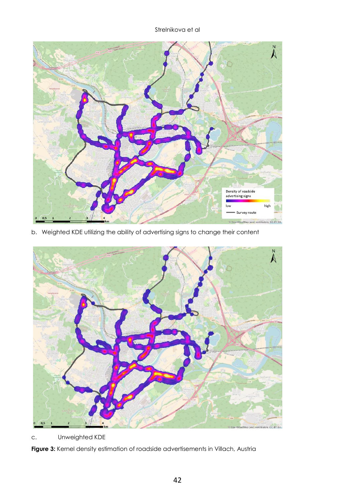

b. Weighted KDE utilizing the ability of advertising signs to change their content



c. Unweighted KDE

**Figure 3:** Kernel density estimation of roadside advertisements in Villach, Austria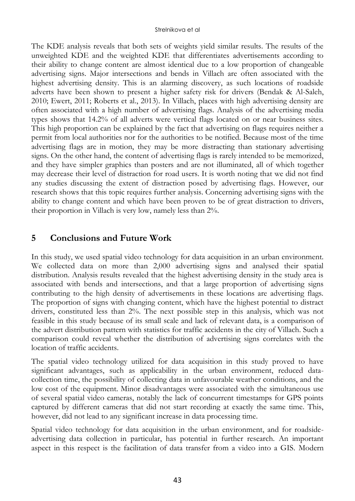The KDE analysis reveals that both sets of weights yield similar results. The results of the unweighted KDE and the weighted KDE that differentiates advertisements according to their ability to change content are almost identical due to a low proportion of changeable advertising signs. Major intersections and bends in Villach are often associated with the highest advertising density. This is an alarming discovery, as such locations of roadside adverts have been shown to present a higher safety risk for drivers (Bendak & Al-Saleh, 2010; Ewert, 2011; Roberts et al., 2013). In Villach, places with high advertising density are often associated with a high number of advertising flags. Analysis of the advertising media types shows that 14.2% of all adverts were vertical flags located on or near business sites. This high proportion can be explained by the fact that advertising on flags requires neither a permit from local authorities nor for the authorities to be notified. Because most of the time advertising flags are in motion, they may be more distracting than stationary advertising signs. On the other hand, the content of advertising flags is rarely intended to be memorized, and they have simpler graphics than posters and are not illuminated, all of which together may decrease their level of distraction for road users. It is worth noting that we did not find any studies discussing the extent of distraction posed by advertising flags. However, our research shows that this topic requires further analysis. Concerning advertising signs with the ability to change content and which have been proven to be of great distraction to drivers, their proportion in Villach is very low, namely less than 2%.

## **5 Conclusions and Future Work**

In this study, we used spatial video technology for data acquisition in an urban environment. We collected data on more than 2,000 advertising signs and analysed their spatial distribution. Analysis results revealed that the highest advertising density in the study area is associated with bends and intersections, and that a large proportion of advertising signs contributing to the high density of advertisements in these locations are advertising flags. The proportion of signs with changing content, which have the highest potential to distract drivers, constituted less than 2%. The next possible step in this analysis, which was not feasible in this study because of its small scale and lack of relevant data, is a comparison of the advert distribution pattern with statistics for traffic accidents in the city of Villach. Such a comparison could reveal whether the distribution of advertising signs correlates with the location of traffic accidents.

The spatial video technology utilized for data acquisition in this study proved to have significant advantages, such as applicability in the urban environment, reduced datacollection time, the possibility of collecting data in unfavourable weather conditions, and the low cost of the equipment. Minor disadvantages were associated with the simultaneous use of several spatial video cameras, notably the lack of concurrent timestamps for GPS points captured by different cameras that did not start recording at exactly the same time. This, however, did not lead to any significant increase in data processing time.

Spatial video technology for data acquisition in the urban environment, and for roadsideadvertising data collection in particular, has potential in further research. An important aspect in this respect is the facilitation of data transfer from a video into a GIS. Modern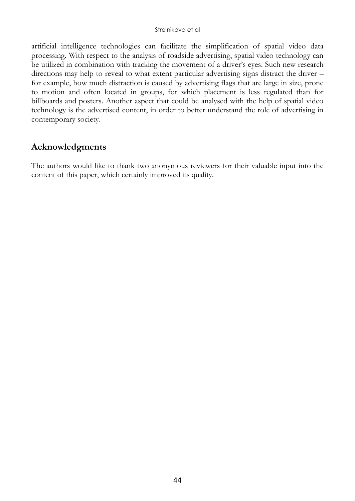artificial intelligence technologies can facilitate the simplification of spatial video data processing. With respect to the analysis of roadside advertising, spatial video technology can be utilized in combination with tracking the movement of a driver's eyes. Such new research directions may help to reveal to what extent particular advertising signs distract the driver – for example, how much distraction is caused by advertising flags that are large in size, prone to motion and often located in groups, for which placement is less regulated than for billboards and posters. Another aspect that could be analysed with the help of spatial video technology is the advertised content, in order to better understand the role of advertising in contemporary society.

## **Acknowledgments**

The authors would like to thank two anonymous reviewers for their valuable input into the content of this paper, which certainly improved its quality.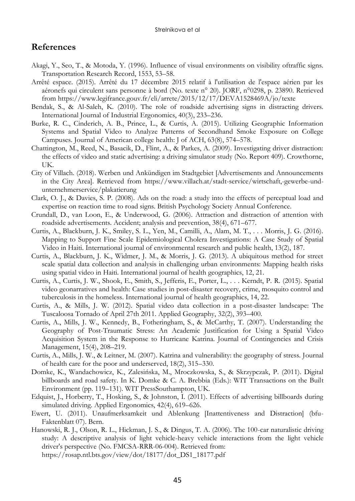### **References**

- Akagi, Y., Seo, T., & Motoda, Y. (1996). Influence of visual environments on visibility oftraffic signs. Transportation Research Record, 1553, 53–58.
- Arrêté espace. (2015). Arrêté du 17 décembre 2015 relatif à l'utilisation de l'espace aérien par les aéronefs qui circulent sans personne à bord (No. texte n° 20). JORF, n°0298, p. 23890. Retrieved from https://www.legifrance.gouv.fr/eli/arrete/2015/12/17/DEVA1528469A/jo/texte
- Bendak, S., & Al-Saleh, K. (2010). The role of roadside advertising signs in distracting drivers. International Journal of Industrial Ergonomics, 40(3), 233–236.
- Burke, R. C., Cinderich, A. B., Prince, L., & Curtis, A. (2015). Utilizing Geographic Information Systems and Spatial Video to Analyze Patterns of Secondhand Smoke Exposure on College Campuses. Journal of American college health: J of ACH, 63(8), 574–578.
- Chattington, M., Reed, N., Basacik, D., Flint, A., & Parkes, A. (2009). Investigating driver distraction: the effects of video and static advertising: a driving simulator study (No. Report 409). Crowthorne, UK.
- City of Villach. (2018). Werben und Ankündigen im Stadtgebiet [Advertisements and Announcements in the City Area]. Retrieved from https://www.villach.at/stadt-service/wirtschaft,-gewerbe-undunternehmerservice/plakatierung
- Clark, O. J., & Davies, S. P. (2008). Ads on the road: a study into the effects of perceptual load and expertise on reaction time to road signs. British Psychology Society Annual Conference.
- Crundall, D., van Loon, E., & Underwood, G. (2006). Attraction and distraction of attention with roadside advertisements. Accident; analysis and prevention, 38(4), 671–677.
- Curtis, A., Blackburn, J. K., Smiley, S. L., Yen, M., Camilli, A., Alam, M. T., . . . Morris, J. G. (2016). Mapping to Support Fine Scale Epidemiological Cholera Investigations: A Case Study of Spatial Video in Haiti. International journal of environmental research and public health, 13(2), 187.
- Curtis, A., Blackburn, J. K., Widmer, J. M., & Morris, J. G. (2013). A ubiquitous method for street scale spatial data collection and analysis in challenging urban environments: Mapping health risks using spatial video in Haiti. International journal of health geographics, 12, 21.
- Curtis, A., Curtis, J. W., Shook, E., Smith, S., Jefferis, E., Porter, L., . . . Kerndt, P. R. (2015). Spatial video geonarratives and health: Case studies in post-disaster recovery, crime, mosquito control and tuberculosis in the homeless. International journal of health geographics, 14, 22.
- Curtis, A., & Mills, J. W. (2012). Spatial video data collection in a post-disaster landscape: The Tuscaloosa Tornado of April 27th 2011. Applied Geography, 32(2), 393–400.
- Curtis, A., Mills, J. W., Kennedy, B., Fotheringham, S., & McCarthy, T. (2007). Understanding the Geography of Post-Traumatic Stress: An Academic Justification for Using a Spatial Video Acquisition System in the Response to Hurricane Katrina. Journal of Contingencies and Crisis Management, 15(4), 208–219.
- Curtis, A., Mills, J. W., & Leitner, M. (2007). Katrina and vulnerability: the geography of stress. Journal of health care for the poor and underserved, 18(2), 315–330.
- Domke, K., Wandachowicz, K., Zalesińska, M., Mroczkowska, S., & Skrzypczak, P. (2011). Digital billboards and road safety. In K. Domke & C. A. Brebbia (Eds.): WIT Transactions on the Built Environment (pp. 119–131). WIT PressSouthampton, UK.
- Edquist, J., Horberry, T., Hosking, S., & Johnston, I. (2011). Effects of advertising billboards during simulated driving. Applied Ergonomics, 42(4), 619–626.
- Ewert, U. (2011). Unaufmerksamkeit und Ablenkung [Inattentiveness and Distraction] (bfu-Faktenblatt 07). Bern.
- Hanowski, R. J., Olson, R. L., Hickman, J. S., & Dingus, T. A. (2006). The 100-car naturalistic driving study: A descriptive analysis of light vehicle-heavy vehicle interactions from the light vehicle driver's perspective (No. FMCSA-RRR-06-004). Retrieved from: https://rosap.ntl.bts.gov/view/dot/18177/dot\_DS1\_18177.pdf